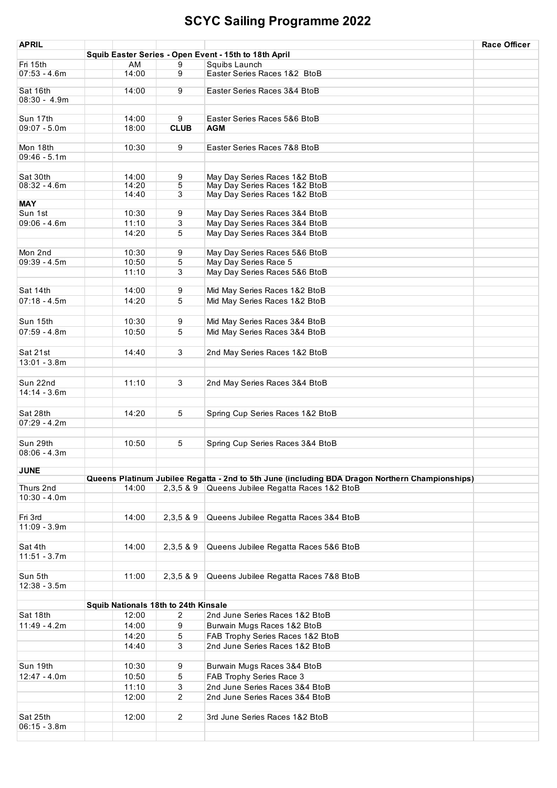| <b>APRIL</b>              |                |                                      |                                                                                                 | <b>Race Officer</b> |
|---------------------------|----------------|--------------------------------------|-------------------------------------------------------------------------------------------------|---------------------|
|                           |                |                                      | Squib Easter Series - Open Event - 15th to 18th April                                           |                     |
| Fri 15th                  | AM             | 9                                    | Squibs Launch                                                                                   |                     |
| $07:53 - 4.6m$            | 14:00          | 9                                    | Easter Series Races 1&2 BtoB                                                                    |                     |
| Sat 16th                  | 14:00          | 9                                    | Easter Series Races 3&4 BtoB                                                                    |                     |
| $08:30 - 4.9m$            |                |                                      |                                                                                                 |                     |
|                           |                |                                      |                                                                                                 |                     |
| Sun 17th                  | 14:00          | 9                                    | Easter Series Races 5&6 BtoB                                                                    |                     |
| $09:07 - 5.0m$            | 18:00          | <b>CLUB</b>                          | AGM                                                                                             |                     |
|                           |                |                                      |                                                                                                 |                     |
| Mon 18th                  | 10:30          | 9                                    | Easter Series Races 7&8 BtoB                                                                    |                     |
| $09:46 - 5.1m$            |                |                                      |                                                                                                 |                     |
|                           |                |                                      |                                                                                                 |                     |
| Sat 30th                  | 14:00          | 9                                    | May Day Series Races 1&2 BtoB                                                                   |                     |
| $08:32 - 4.6m$            | 14:20          | 5                                    | May Day Series Races 1&2 BtoB                                                                   |                     |
|                           | 14:40          | $\overline{3}$                       | May Day Series Races 1&2 BtoB                                                                   |                     |
| <b>MAY</b>                |                |                                      |                                                                                                 |                     |
| Sun 1st<br>$09:06 - 4.6m$ | 10:30<br>11:10 | 9<br>3                               | May Day Series Races 3&4 BtoB<br>May Day Series Races 3&4 BtoB                                  |                     |
|                           | 14:20          | 5                                    |                                                                                                 |                     |
|                           |                |                                      | May Day Series Races 3&4 BtoB                                                                   |                     |
| Mon 2nd                   | 10:30          | 9                                    | May Day Series Races 5&6 BtoB                                                                   |                     |
| $09:39 - 4.5m$            | 10:50          | 5                                    | May Day Series Race 5                                                                           |                     |
|                           | 11:10          | 3                                    | May Day Series Races 5&6 BtoB                                                                   |                     |
|                           |                |                                      |                                                                                                 |                     |
| Sat 14th                  | 14:00          | 9                                    | Mid May Series Races 1&2 BtoB                                                                   |                     |
| $07:18 - 4.5m$            | 14:20          | 5                                    | Mid May Series Races 1&2 BtoB                                                                   |                     |
|                           |                |                                      |                                                                                                 |                     |
| Sun 15th                  | 10:30          | 9                                    | Mid May Series Races 3&4 BtoB                                                                   |                     |
| $07:59 - 4.8m$            | 10:50          | 5                                    | Mid May Series Races 3&4 BtoB                                                                   |                     |
|                           |                |                                      |                                                                                                 |                     |
| Sat 21st                  | 14:40          | 3                                    | 2nd May Series Races 1&2 BtoB                                                                   |                     |
| $13:01 - 3.8m$            |                |                                      |                                                                                                 |                     |
|                           |                |                                      |                                                                                                 |                     |
| Sun 22nd                  | 11:10          | 3                                    |                                                                                                 |                     |
| $14:14 - 3.6m$            |                |                                      | 2nd May Series Races 3&4 BtoB                                                                   |                     |
|                           |                |                                      |                                                                                                 |                     |
| Sat 28th                  | 14:20          | 5                                    |                                                                                                 |                     |
| $07:29 - 4.2m$            |                |                                      | Spring Cup Series Races 1&2 BtoB                                                                |                     |
|                           |                |                                      |                                                                                                 |                     |
| Sun 29th                  | 10:50          | 5                                    |                                                                                                 |                     |
| $08:06 - 4.3m$            |                |                                      | Spring Cup Series Races 3&4 BtoB                                                                |                     |
|                           |                |                                      |                                                                                                 |                     |
| <b>JUNE</b>               |                |                                      |                                                                                                 |                     |
|                           |                |                                      | Queens Platinum Jubilee Regatta - 2nd to 5th June (including BDA Dragon Northern Championships) |                     |
| Thurs 2nd                 | 14:00          |                                      | 2,3,5 & 9 Queens Jubilee Regatta Races 1&2 BtoB                                                 |                     |
| $10:30 - 4.0m$            |                |                                      |                                                                                                 |                     |
|                           |                |                                      |                                                                                                 |                     |
| Fri 3rd                   | 14:00          | 2,3,589                              | Queens Jubilee Regatta Races 3&4 BtoB                                                           |                     |
| $11:09 - 3.9m$            |                |                                      |                                                                                                 |                     |
|                           |                |                                      |                                                                                                 |                     |
| Sat 4th                   | 14:00          | 2,3,5 & 9                            | Queens Jubilee Regatta Races 5&6 BtoB                                                           |                     |
| $11:51 - 3.7m$            |                |                                      |                                                                                                 |                     |
|                           |                |                                      |                                                                                                 |                     |
| Sun 5th                   | 11:00          | 2,3,5 & 9                            | Queens Jubilee Regatta Races 7&8 BtoB                                                           |                     |
| $12:38 - 3.5m$            |                |                                      |                                                                                                 |                     |
|                           |                |                                      |                                                                                                 |                     |
|                           |                | Squib Nationals 18th to 24th Kinsale |                                                                                                 |                     |
| Sat 18th                  | 12:00          | $\overline{2}$                       | 2nd June Series Races 1&2 BtoB                                                                  |                     |
| $11:49 - 4.2m$            | 14:00          | 9                                    | Burwain Mugs Races 1&2 BtoB                                                                     |                     |
|                           | 14:20          | 5                                    | FAB Trophy Series Races 1&2 BtoB                                                                |                     |
|                           | 14:40          | 3                                    | 2nd June Series Races 1&2 BtoB                                                                  |                     |
|                           |                |                                      |                                                                                                 |                     |
| Sun 19th                  | 10:30          | 9                                    | Burwain Mugs Races 3&4 BtoB                                                                     |                     |
| $12:47 - 4.0m$            | 10:50          | 5                                    | FAB Trophy Series Race 3                                                                        |                     |
|                           | 11:10          | 3                                    | 2nd June Series Races 3&4 BtoB                                                                  |                     |
|                           | 12:00          | $\overline{2}$                       | 2nd June Series Races 3&4 BtoB                                                                  |                     |
|                           |                |                                      |                                                                                                 |                     |
| Sat 25th                  | 12:00          | $\overline{2}$                       | 3rd June Series Races 1&2 BtoB                                                                  |                     |
| $06:15 - 3.8m$            |                |                                      |                                                                                                 |                     |
|                           |                |                                      |                                                                                                 |                     |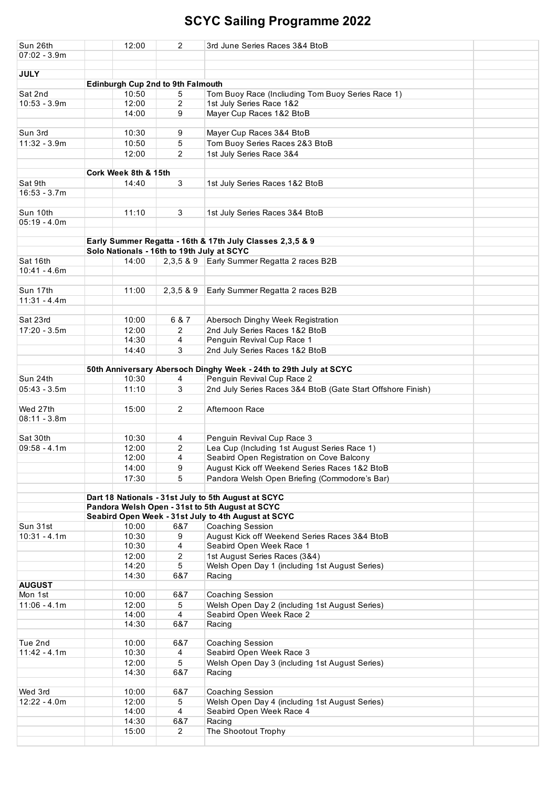| Sun 26th                  | 12:00                                                     | 2              | 3rd June Series Races 3&4 BtoB                                    |  |  |  |  |  |
|---------------------------|-----------------------------------------------------------|----------------|-------------------------------------------------------------------|--|--|--|--|--|
| $07:02 - 3.9m$            |                                                           |                |                                                                   |  |  |  |  |  |
|                           |                                                           |                |                                                                   |  |  |  |  |  |
| <b>JULY</b>               |                                                           |                |                                                                   |  |  |  |  |  |
|                           | <b>Edinburgh Cup 2nd to 9th Falmouth</b>                  |                |                                                                   |  |  |  |  |  |
| Sat 2nd                   | 10:50                                                     | 5              | Tom Buoy Race (Incliuding Tom Buoy Series Race 1)                 |  |  |  |  |  |
| $10:53 - 3.9m$            | 12:00                                                     | 2              | 1st July Series Race 1&2                                          |  |  |  |  |  |
|                           | 14:00                                                     | 9              | Mayer Cup Races 1&2 BtoB                                          |  |  |  |  |  |
| Sun 3rd                   | 10:30                                                     | 9              |                                                                   |  |  |  |  |  |
| $11:32 - 3.9m$            | 10:50                                                     | 5              | Mayer Cup Races 3&4 BtoB                                          |  |  |  |  |  |
|                           |                                                           |                | Tom Buoy Series Races 2&3 BtoB                                    |  |  |  |  |  |
|                           | 12:00                                                     | $\overline{2}$ | 1st July Series Race 3&4                                          |  |  |  |  |  |
|                           | Cork Week 8th & 15th                                      |                |                                                                   |  |  |  |  |  |
| Sat 9th                   | 14:40                                                     | 3              | 1st July Series Races 1&2 BtoB                                    |  |  |  |  |  |
| $16:53 - 3.7m$            |                                                           |                |                                                                   |  |  |  |  |  |
|                           |                                                           |                |                                                                   |  |  |  |  |  |
| Sun 10th                  | 11:10                                                     | 3              | 1st July Series Races 3&4 BtoB                                    |  |  |  |  |  |
| $05:19 - 4.0m$            |                                                           |                |                                                                   |  |  |  |  |  |
|                           |                                                           |                |                                                                   |  |  |  |  |  |
|                           | Early Summer Regatta - 16th & 17th July Classes 2,3,5 & 9 |                |                                                                   |  |  |  |  |  |
|                           | Solo Nationals - 16th to 19th July at SCYC                |                |                                                                   |  |  |  |  |  |
| Sat 16th                  | 14:00                                                     | 2.3.5 & 9      | Early Summer Regatta 2 races B2B                                  |  |  |  |  |  |
| $10:41 - 4.6m$            |                                                           |                |                                                                   |  |  |  |  |  |
|                           |                                                           |                |                                                                   |  |  |  |  |  |
| Sun 17th                  | 11:00                                                     | 2,3,58.9       | Early Summer Regatta 2 races B2B                                  |  |  |  |  |  |
| $11:31 - 4.4m$            |                                                           |                |                                                                   |  |  |  |  |  |
|                           |                                                           |                |                                                                   |  |  |  |  |  |
| Sat 23rd                  | 10:00                                                     | 6 & 7          | Abersoch Dinghy Week Registration                                 |  |  |  |  |  |
| $17:20 - 3.5m$            | 12:00                                                     | 2              | 2nd July Series Races 1&2 BtoB                                    |  |  |  |  |  |
|                           | 14:30                                                     | 4              | Penguin Revival Cup Race 1                                        |  |  |  |  |  |
|                           | 14:40                                                     | 3              | 2nd July Series Races 1&2 BtoB                                    |  |  |  |  |  |
|                           |                                                           |                |                                                                   |  |  |  |  |  |
|                           |                                                           |                | 50th Anniversary Abersoch Dinghy Week - 24th to 29th July at SCYC |  |  |  |  |  |
| Sun 24th                  | 10:30                                                     | 4              | Penguin Revival Cup Race 2                                        |  |  |  |  |  |
| $05:43 - 3.5m$            | 11:10                                                     | 3              | 2nd July Series Races 3&4 BtoB (Gate Start Offshore Finish)       |  |  |  |  |  |
|                           |                                                           |                |                                                                   |  |  |  |  |  |
| Wed 27th                  | 15:00                                                     | 2              | Afternoon Race                                                    |  |  |  |  |  |
| $08:11 - 3.8m$            |                                                           |                |                                                                   |  |  |  |  |  |
| Sat 30th                  | 10:30                                                     | 4              | Penguin Revival Cup Race 3                                        |  |  |  |  |  |
| $09:58 - 4.1m$            | 12:00                                                     | 2              | Lea Cup (Including 1st August Series Race 1)                      |  |  |  |  |  |
|                           | 12:00                                                     | 4              | Seabird Open Registration on Cove Balcony                         |  |  |  |  |  |
|                           | 14:00                                                     | 9              | August Kick off Weekend Series Races 1&2 BtoB                     |  |  |  |  |  |
|                           | 17:30                                                     | 5              | Pandora Welsh Open Briefing (Commodore's Bar)                     |  |  |  |  |  |
|                           |                                                           |                |                                                                   |  |  |  |  |  |
|                           | Dart 18 Nationals - 31st July to 5th August at SCYC       |                |                                                                   |  |  |  |  |  |
|                           | Pandora Welsh Open - 31st to 5th August at SCYC           |                |                                                                   |  |  |  |  |  |
|                           | Seabird Open Week - 31st July to 4th August at SCYC       |                |                                                                   |  |  |  |  |  |
| Sun 31st                  | 10:00                                                     | 6&7            | Coaching Session                                                  |  |  |  |  |  |
| $10:31 - 4.1m$            | 10:30                                                     | 9              | August Kick off Weekend Series Races 3&4 BtoB                     |  |  |  |  |  |
|                           | 10:30                                                     | 4              | Seabird Open Week Race 1                                          |  |  |  |  |  |
|                           | 12:00                                                     | 2              | 1st August Series Races (3&4)                                     |  |  |  |  |  |
|                           | 14:20                                                     | 5              | Welsh Open Day 1 (including 1st August Series)                    |  |  |  |  |  |
|                           | 14:30                                                     | 6&7            | Racing                                                            |  |  |  |  |  |
| <b>AUGUST</b>             |                                                           |                |                                                                   |  |  |  |  |  |
| Mon 1st                   | 10:00                                                     | 6&7            | Coaching Session                                                  |  |  |  |  |  |
| $11:06 - 4.1m$            | 12:00                                                     | 5              | Welsh Open Day 2 (including 1st August Series)                    |  |  |  |  |  |
|                           | 14:00                                                     | 4              | Seabird Open Week Race 2                                          |  |  |  |  |  |
|                           | 14:30                                                     | 6&7            | Racing                                                            |  |  |  |  |  |
|                           |                                                           |                |                                                                   |  |  |  |  |  |
| Tue 2nd<br>$11:42 - 4.1m$ | 10:00<br>10:30                                            | 6&7<br>4       | Coaching Session<br>Seabird Open Week Race 3                      |  |  |  |  |  |
|                           | 12:00                                                     | 5              | Welsh Open Day 3 (including 1st August Series)                    |  |  |  |  |  |
|                           | 14:30                                                     | 6&7            | Racing                                                            |  |  |  |  |  |
|                           |                                                           |                |                                                                   |  |  |  |  |  |
| Wed 3rd                   | 10:00                                                     | 6&7            | Coaching Session                                                  |  |  |  |  |  |
| $12:22 - 4.0m$            | 12:00                                                     | 5              | Welsh Open Day 4 (including 1st August Series)                    |  |  |  |  |  |
|                           | 14:00                                                     | 4              | Seabird Open Week Race 4                                          |  |  |  |  |  |
|                           | 14:30                                                     | 6&7            | Racing                                                            |  |  |  |  |  |
|                           | 15:00                                                     | 2              | The Shootout Trophy                                               |  |  |  |  |  |
|                           |                                                           |                |                                                                   |  |  |  |  |  |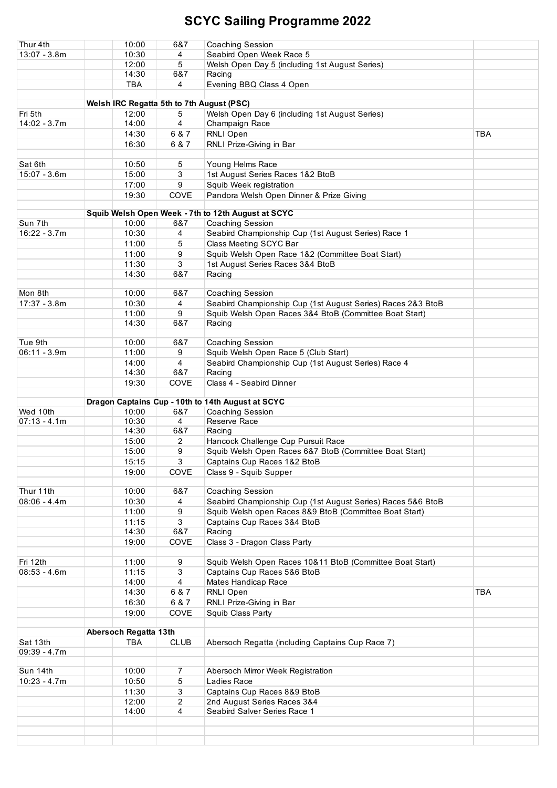| Thur 4th       | 10:00                                     | 6&7            | <b>Coaching Session</b>                                     |            |
|----------------|-------------------------------------------|----------------|-------------------------------------------------------------|------------|
| $13:07 - 3.8m$ | 10:30                                     | 4              | Seabird Open Week Race 5                                    |            |
|                |                                           |                |                                                             |            |
|                | 12:00                                     | 5              | Welsh Open Day 5 (including 1st August Series)              |            |
|                | 14:30                                     | 6&7            | Racing                                                      |            |
|                | <b>TBA</b>                                | 4              | Evening BBQ Class 4 Open                                    |            |
|                |                                           |                |                                                             |            |
|                | Welsh IRC Regatta 5th to 7th August (PSC) |                |                                                             |            |
| Fri 5th        | 12:00                                     | 5              | Welsh Open Day 6 (including 1st August Series)              |            |
| 14:02 - 3.7m   | 14:00                                     | 4              | Champaign Race                                              |            |
|                |                                           |                |                                                             |            |
|                | 14:30                                     | 6 & 7          | RNLI Open                                                   | <b>TBA</b> |
|                | 16:30                                     | 6 & 7          | RNLI Prize-Giving in Bar                                    |            |
|                |                                           |                |                                                             |            |
| Sat 6th        | 10:50                                     | 5              | Young Helms Race                                            |            |
| $15:07 - 3.6m$ | 15:00                                     | 3              | 1st August Series Races 1&2 BtoB                            |            |
|                | 17:00                                     | 9              | Squib Week registration                                     |            |
|                | 19:30                                     | COVE           | Pandora Welsh Open Dinner & Prize Giving                    |            |
|                |                                           |                |                                                             |            |
|                |                                           |                |                                                             |            |
|                |                                           |                | Squib Welsh Open Week - 7th to 12th August at SCYC          |            |
| Sun 7th        | 10:00                                     | 6&7            | Coaching Session                                            |            |
| $16:22 - 3.7m$ | 10:30                                     | 4              | Seabird Championship Cup (1st August Series) Race 1         |            |
|                | 11:00                                     | 5              | Class Meeting SCYC Bar                                      |            |
|                | 11:00                                     | 9              | Squib Welsh Open Race 1&2 (Committee Boat Start)            |            |
|                | 11:30                                     | 3              | 1st August Series Races 3&4 BtoB                            |            |
|                | 14:30                                     | 6&7            | Racing                                                      |            |
|                |                                           |                |                                                             |            |
|                |                                           |                |                                                             |            |
| Mon 8th        | 10:00                                     | 6&7            | Coaching Session                                            |            |
| $17:37 - 3.8m$ | 10:30                                     | 4              | Seabird Championship Cup (1st August Series) Races 2&3 BtoB |            |
|                | 11:00                                     | 9              | Squib Welsh Open Races 3&4 BtoB (Committee Boat Start)      |            |
|                | 14:30                                     | 6&7            | Racing                                                      |            |
|                |                                           |                |                                                             |            |
| Tue 9th        | 10:00                                     | 6&7            | Coaching Session                                            |            |
| $06:11 - 3.9m$ | 11:00                                     | 9              | Squib Welsh Open Race 5 (Club Start)                        |            |
|                |                                           |                |                                                             |            |
|                | 14:00                                     | $\overline{4}$ | Seabird Championship Cup (1st August Series) Race 4         |            |
|                | 14:30                                     | 6&7            | Racing                                                      |            |
|                | 19:30                                     | COVE           | Class 4 - Seabird Dinner                                    |            |
|                |                                           |                |                                                             |            |
|                |                                           |                | Dragon Captains Cup - 10th to 14th August at SCYC           |            |
| Wed 10th       | 10:00                                     | 6&7            | Coaching Session                                            |            |
| $07:13 - 4.1m$ | 10:30                                     | 4              | Reserve Race                                                |            |
|                | 14:30                                     | 6&7            | Racing                                                      |            |
|                | 15:00                                     | 2              | Hancock Challenge Cup Pursuit Race                          |            |
|                |                                           |                |                                                             |            |
|                | 15:00                                     | 9              | Squib Welsh Open Races 6&7 BtoB (Committee Boat Start)      |            |
|                | 15:15                                     | 3              | Captains Cup Races 1&2 BtoB                                 |            |
|                | 19:00                                     | COVE           | Class 9 - Squib Supper                                      |            |
|                |                                           |                |                                                             |            |
| Thur 11th      | 10:00                                     | 6&7            | Coaching Session                                            |            |
| $08:06 - 4.4m$ | 10:30                                     | 4              | Seabird Championship Cup (1st August Series) Races 5&6 BtoB |            |
|                | 11:00                                     | 9              | Squib Welsh open Races 8&9 BtoB (Committee Boat Start)      |            |
|                |                                           |                |                                                             |            |
|                | 11:15                                     | 3              | Captains Cup Races 3&4 BtoB                                 |            |
|                | 14:30                                     | 6&7            | Racing                                                      |            |
|                | 19:00                                     | COVE           | Class 3 - Dragon Class Party                                |            |
|                |                                           |                |                                                             |            |
| Fri 12th       | 11:00                                     | 9              | Squib Welsh Open Races 10&11 BtoB (Committee Boat Start)    |            |
| $08:53 - 4.6m$ | 11:15                                     | 3              | Captains Cup Races 5&6 BtoB                                 |            |
|                | 14:00                                     | 4              | Mates Handicap Race                                         |            |
|                |                                           |                |                                                             | <b>TBA</b> |
|                | 14:30                                     | 6 & 7          | RNLI Open                                                   |            |
|                | 16:30                                     | 6 & 7          | RNLI Prize-Giving in Bar                                    |            |
|                | 19:00                                     | COVE           | Squib Class Party                                           |            |
|                |                                           |                |                                                             |            |
|                | Abersoch Regatta 13th                     |                |                                                             |            |
| Sat 13th       | <b>TBA</b>                                | <b>CLUB</b>    | Abersoch Regatta (including Captains Cup Race 7)            |            |
| 09:39 - 4.7m   |                                           |                |                                                             |            |
|                |                                           |                |                                                             |            |
| Sun 14th       | 10:00                                     | 7              | Abersoch Mirror Week Registration                           |            |
| $10:23 - 4.7m$ | 10:50                                     |                | Ladies Race                                                 |            |
|                |                                           | 5              |                                                             |            |
|                | 11:30                                     | 3              | Captains Cup Races 8&9 BtoB                                 |            |
|                | 12:00                                     | 2              | 2nd August Series Races 3&4                                 |            |
|                | 14:00                                     | 4              | Seabird Salver Series Race 1                                |            |
|                |                                           |                |                                                             |            |
|                |                                           |                |                                                             |            |
|                |                                           |                |                                                             |            |
|                |                                           |                |                                                             |            |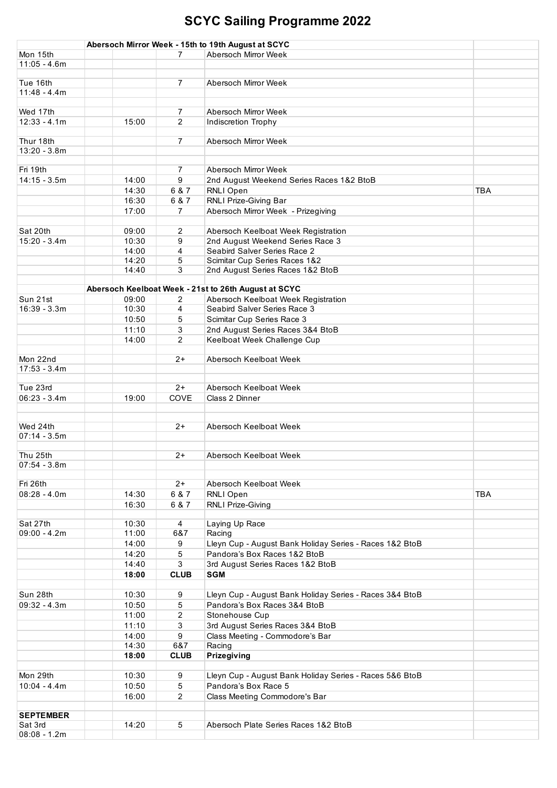|                  |       |                  | Abersoch Mirror Week - 15th to 19th August at SCYC      |            |
|------------------|-------|------------------|---------------------------------------------------------|------------|
| Mon 15th         |       | 7                | Abersoch Mirror Week                                    |            |
| $11:05 - 4.6m$   |       |                  |                                                         |            |
|                  |       |                  |                                                         |            |
| Tue 16th         |       | $\overline{7}$   | Abersoch Mirror Week                                    |            |
| $11:48 - 4.4m$   |       |                  |                                                         |            |
|                  |       |                  |                                                         |            |
| Wed 17th         |       | $\overline{7}$   | Abersoch Mirror Week                                    |            |
| $12:33 - 4.1m$   | 15:00 | $\overline{2}$   | Indiscretion Trophy                                     |            |
|                  |       |                  |                                                         |            |
| Thur 18th        |       | $\overline{7}$   | Abersoch Mirror Week                                    |            |
| $13:20 - 3.8m$   |       |                  |                                                         |            |
|                  |       |                  |                                                         |            |
| Fri 19th         |       | 7                | Abersoch Mirror Week                                    |            |
| $14:15 - 3.5m$   | 14:00 | 9                |                                                         |            |
|                  |       |                  | 2nd August Weekend Series Races 1&2 BtoB                |            |
|                  | 14:30 | 6 & 7            | RNLI Open                                               | <b>TBA</b> |
|                  | 16:30 | 6 & 7            | RNLI Prize-Giving Bar                                   |            |
|                  | 17:00 | $\overline{7}$   | Abersoch Mirror Week - Prizegiving                      |            |
|                  |       |                  |                                                         |            |
| Sat 20th         | 09:00 | 2                | Abersoch Keelboat Week Registration                     |            |
| $15:20 - 3.4m$   | 10:30 | 9                | 2nd August Weekend Series Race 3                        |            |
|                  | 14:00 | 4                | Seabird Salver Series Race 2                            |            |
|                  | 14:20 | 5                | Scimitar Cup Series Races 1&2                           |            |
|                  | 14:40 | 3                | 2nd August Series Races 1&2 BtoB                        |            |
|                  |       |                  |                                                         |            |
|                  |       |                  | Abersoch Keelboat Week - 21st to 26th August at SCYC    |            |
| Sun 21st         | 09:00 | 2                | Abersoch Keelboat Week Registration                     |            |
| $16:39 - 3.3m$   | 10:30 | 4                | Seabird Salver Series Race 3                            |            |
|                  | 10:50 | 5                | Scimitar Cup Series Race 3                              |            |
|                  |       |                  |                                                         |            |
|                  | 11:10 | 3                | 2nd August Series Races 3&4 BtoB                        |            |
|                  | 14:00 | 2                | Keelboat Week Challenge Cup                             |            |
|                  |       |                  |                                                         |            |
| Mon 22nd         |       | $2+$             | Abersoch Keelboat Week                                  |            |
| $17:53 - 3.4m$   |       |                  |                                                         |            |
|                  |       |                  |                                                         |            |
| Tue 23rd         |       | $2+$             | Abersoch Keelboat Week                                  |            |
| $06:23 - 3.4m$   | 19:00 | COVE             | Class 2 Dinner                                          |            |
|                  |       |                  |                                                         |            |
|                  |       |                  |                                                         |            |
| Wed 24th         |       | $2+$             | Abersoch Keelboat Week                                  |            |
| $07:14 - 3.5m$   |       |                  |                                                         |            |
|                  |       |                  |                                                         |            |
| Thu 25th         |       | $2+$             | Abersoch Keelboat Week                                  |            |
| $07:54 - 3.8m$   |       |                  |                                                         |            |
|                  |       |                  |                                                         |            |
| Fri 26th         |       | $2+$             | Abersoch Keelboat Week                                  |            |
| $08:28 - 4.0m$   | 14:30 | 6 & 7            | RNLI Open                                               | <b>TBA</b> |
|                  | 16:30 | 6 & 7            | RNLI Prize-Giving                                       |            |
|                  |       |                  |                                                         |            |
| Sat 27th         | 10:30 | $\overline{4}$   | Laying Up Race                                          |            |
| $09:00 - 4.2m$   | 11:00 | 6&7              | Racing                                                  |            |
|                  |       |                  |                                                         |            |
|                  | 14:00 | 9                | Lleyn Cup - August Bank Holiday Series - Races 1&2 BtoB |            |
|                  | 14:20 | 5                | Pandora's Box Races 1&2 BtoB                            |            |
|                  | 14:40 | 3                | 3rd August Series Races 1&2 BtoB                        |            |
|                  | 18:00 | <b>CLUB</b>      | <b>SGM</b>                                              |            |
|                  |       |                  |                                                         |            |
| Sun 28th         | 10:30 | 9                | Lleyn Cup - August Bank Holiday Series - Races 3&4 BtoB |            |
| $09:32 - 4.3m$   | 10:50 | 5                | Pandora's Box Races 3&4 BtoB                            |            |
|                  | 11:00 | $\overline{2}$   | Stonehouse Cup                                          |            |
|                  | 11:10 | 3                | 3rd August Series Races 3&4 BtoB                        |            |
|                  | 14:00 | $\boldsymbol{9}$ | Class Meeting - Commodore's Bar                         |            |
|                  | 14:30 | 6&7              | Racing                                                  |            |
|                  |       |                  |                                                         |            |
|                  | 18:00 | <b>CLUB</b>      | Prizegiving                                             |            |
|                  |       |                  |                                                         |            |
| Mon 29th         | 10:30 | 9                | Lleyn Cup - August Bank Holiday Series - Races 5&6 BtoB |            |
| $10:04 - 4.4m$   | 10:50 | 5                | Pandora's Box Race 5                                    |            |
|                  | 16:00 | $\overline{2}$   | Class Meeting Commodore's Bar                           |            |
|                  |       |                  |                                                         |            |
| <b>SEPTEMBER</b> |       |                  |                                                         |            |
| Sat 3rd          | 14:20 | 5                | Abersoch Plate Series Races 1&2 BtoB                    |            |
| $08:08 - 1.2m$   |       |                  |                                                         |            |